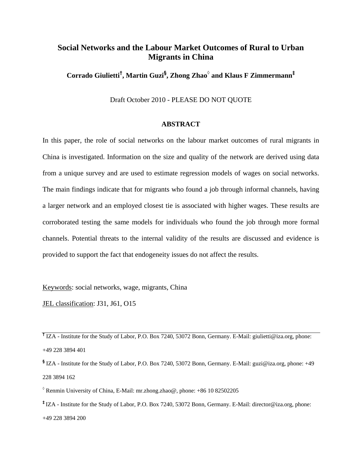# **Social Networks and the Labour Market Outcomes of Rural to Urban Migrants in China**

**Corrado Giulietti† , Martin Guzi§ , Zhong Zhao◊ and Klaus F Zimmermann‡**

Draft October 2010 - PLEASE DO NOT QUOTE

### **ABSTRACT**

In this paper, the role of social networks on the labour market outcomes of rural migrants in China is investigated. Information on the size and quality of the network are derived using data from a unique survey and are used to estimate regression models of wages on social networks. The main findings indicate that for migrants who found a job through informal channels, having a larger network and an employed closest tie is associated with higher wages. These results are corroborated testing the same models for individuals who found the job through more formal channels. Potential threats to the internal validity of the results are discussed and evidence is provided to support the fact that endogeneity issues do not affect the results.

Keywords: social networks, wage, migrants, China

JEL classification: J31, J61, O15

**†** IZA - Institute for the Study of Labor, P.O. Box 7240, 53072 Bonn, Germany. E-Mail: giulietti@iza.org, phone: +49 228 3894 401

**§** IZA - Institute for the Study of Labor, P.O. Box 7240, 53072 Bonn, Germany. E-Mail: guzi@iza.org, phone: +49 228 3894 162

**◊** Renmin University of China, E-Mail: mr.zhong.zhao@, phone: +86 10 82502205

**‡** IZA - Institute for the Study of Labor, P.O. Box 7240, 53072 Bonn, Germany. E-Mail: director@iza.org, phone: +49 228 3894 200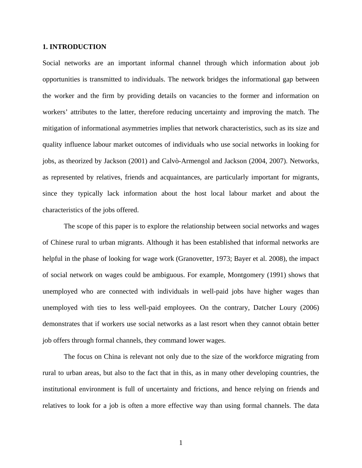# **1. INTRODUCTION**

Social networks are an important informal channel through which information about job opportunities is transmitted to individuals. The network bridges the informational gap between the worker and the firm by providing details on vacancies to the former and information on workers' attributes to the latter, therefore reducing uncertainty and improving the match. The mitigation of informational asymmetries implies that network characteristics, such as its size and quality influence labour market outcomes of individuals who use social networks in looking for jobs, as theorized by Jackson (2001) and Calvò-Armengol and Jackson (2004, 2007). Networks, as represented by relatives, friends and acquaintances, are particularly important for migrants, since they typically lack information about the host local labour market and about the characteristics of the jobs offered.

The scope of this paper is to explore the relationship between social networks and wages of Chinese rural to urban migrants. Although it has been established that informal networks are helpful in the phase of looking for wage work (Granovetter, 1973; Bayer et al. 2008), the impact of social network on wages could be ambiguous. For example, Montgomery (1991) shows that unemployed who are connected with individuals in well-paid jobs have higher wages than unemployed with ties to less well-paid employees. On the contrary, Datcher Loury (2006) demonstrates that if workers use social networks as a last resort when they cannot obtain better job offers through formal channels, they command lower wages.

The focus on China is relevant not only due to the size of the workforce migrating from rural to urban areas, but also to the fact that in this, as in many other developing countries, the institutional environment is full of uncertainty and frictions, and hence relying on friends and relatives to look for a job is often a more effective way than using formal channels. The data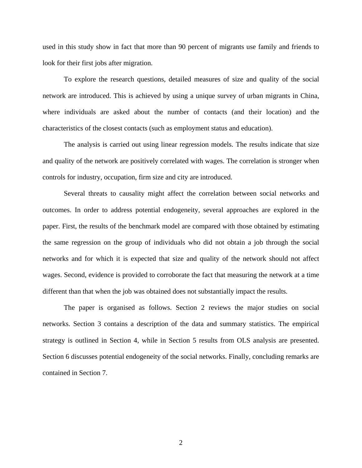used in this study show in fact that more than 90 percent of migrants use family and friends to look for their first jobs after migration.

To explore the research questions, detailed measures of size and quality of the social network are introduced. This is achieved by using a unique survey of urban migrants in China, where individuals are asked about the number of contacts (and their location) and the characteristics of the closest contacts (such as employment status and education).

The analysis is carried out using linear regression models. The results indicate that size and quality of the network are positively correlated with wages. The correlation is stronger when controls for industry, occupation, firm size and city are introduced.

Several threats to causality might affect the correlation between social networks and outcomes. In order to address potential endogeneity, several approaches are explored in the paper. First, the results of the benchmark model are compared with those obtained by estimating the same regression on the group of individuals who did not obtain a job through the social networks and for which it is expected that size and quality of the network should not affect wages. Second, evidence is provided to corroborate the fact that measuring the network at a time different than that when the job was obtained does not substantially impact the results.

The paper is organised as follows. Section 2 reviews the major studies on social networks. Section 3 contains a description of the data and summary statistics. The empirical strategy is outlined in Section 4, while in Section 5 results from OLS analysis are presented. Section 6 discusses potential endogeneity of the social networks. Finally, concluding remarks are contained in Section 7.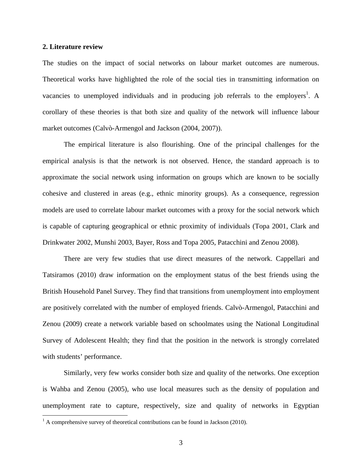#### **2. Literature review**

The studies on the impact of social networks on labour market outcomes are numerous. Theoretical works have highlighted the role of the social ties in transmitting information on vacancies to unemployed individuals and in producing job referrals to the employers<sup>1</sup>. A corollary of these theories is that both size and quality of the network will influence labour market outcomes (Calvò-Armengol and Jackson (2004, 2007)).

The empirical literature is also flourishing. One of the principal challenges for the empirical analysis is that the network is not observed. Hence, the standard approach is to approximate the social network using information on groups which are known to be socially cohesive and clustered in areas (e.g., ethnic minority groups). As a consequence, regression models are used to correlate labour market outcomes with a proxy for the social network which is capable of capturing geographical or ethnic proximity of individuals (Topa 2001, Clark and Drinkwater 2002, Munshi 2003, Bayer, Ross and Topa 2005, Patacchini and Zenou 2008).

There are very few studies that use direct measures of the network. Cappellari and Tatsiramos (2010) draw information on the employment status of the best friends using the British Household Panel Survey. They find that transitions from unemployment into employment are positively correlated with the number of employed friends. Calvò-Armengol, Patacchini and Zenou (2009) create a network variable based on schoolmates using the National Longitudinal Survey of Adolescent Health; they find that the position in the network is strongly correlated with students' performance.

Similarly, very few works consider both size and quality of the networks. One exception is Wahba and Zenou (2005), who use local measures such as the density of population and unemployment rate to capture, respectively, size and quality of networks in Egyptian

<u>.</u>

 $<sup>1</sup>$  A comprehensive survey of theoretical contributions can be found in Jackson (2010).</sup>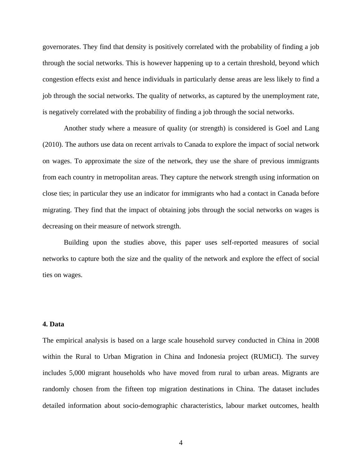governorates. They find that density is positively correlated with the probability of finding a job through the social networks. This is however happening up to a certain threshold, beyond which congestion effects exist and hence individuals in particularly dense areas are less likely to find a job through the social networks. The quality of networks, as captured by the unemployment rate, is negatively correlated with the probability of finding a job through the social networks.

Another study where a measure of quality (or strength) is considered is Goel and Lang (2010). The authors use data on recent arrivals to Canada to explore the impact of social network on wages. To approximate the size of the network, they use the share of previous immigrants from each country in metropolitan areas. They capture the network strength using information on close ties; in particular they use an indicator for immigrants who had a contact in Canada before migrating. They find that the impact of obtaining jobs through the social networks on wages is decreasing on their measure of network strength.

Building upon the studies above, this paper uses self-reported measures of social networks to capture both the size and the quality of the network and explore the effect of social ties on wages.

# **4. Data**

The empirical analysis is based on a large scale household survey conducted in China in 2008 within the Rural to Urban Migration in China and Indonesia project (RUMiCI). The survey includes 5,000 migrant households who have moved from rural to urban areas. Migrants are randomly chosen from the fifteen top migration destinations in China. The dataset includes detailed information about socio-demographic characteristics, labour market outcomes, health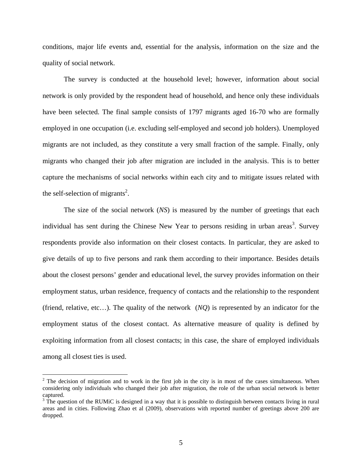conditions, major life events and, essential for the analysis, information on the size and the quality of social network.

The survey is conducted at the household level; however, information about social network is only provided by the respondent head of household, and hence only these individuals have been selected. The final sample consists of 1797 migrants aged 16-70 who are formally employed in one occupation (i.e. excluding self-employed and second job holders). Unemployed migrants are not included, as they constitute a very small fraction of the sample. Finally, only migrants who changed their job after migration are included in the analysis. This is to better capture the mechanisms of social networks within each city and to mitigate issues related with the self-selection of migrants<sup>2</sup>.

The size of the social network (*NS*) is measured by the number of greetings that each individual has sent during the Chinese New Year to persons residing in urban areas<sup>3</sup>. Survey respondents provide also information on their closest contacts. In particular, they are asked to give details of up to five persons and rank them according to their importance. Besides details about the closest persons' gender and educational level, the survey provides information on their employment status, urban residence, frequency of contacts and the relationship to the respondent (friend, relative, etc…). The quality of the network (*NQ*) is represented by an indicator for the employment status of the closest contact. As alternative measure of quality is defined by exploiting information from all closest contacts; in this case, the share of employed individuals among all closest ties is used.

<u>.</u>

 $2^2$  The decision of migration and to work in the first job in the city is in most of the cases simultaneous. When considering only individuals who changed their job after migration, the role of the urban social network is better captured.

 $3$  The question of the RUMiC is designed in a way that it is possible to distinguish between contacts living in rural areas and in cities. Following Zhao et al (2009), observations with reported number of greetings above 200 are dropped.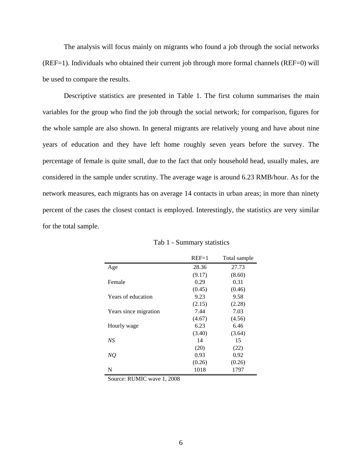The analysis will focus mainly on migrants who found a job through the social networks (REF=1). Individuals who obtained their current job through more formal channels (REF=0) will be used to compare the results.

Descriptive statistics are presented in Table 1. The first column summarises the main variables for the group who find the job through the social network; for comparison, figures for the whole sample are also shown. In general migrants are relatively young and have about nine years of education and they have left home roughly seven years before the survey. The percentage of female is quite small, due to the fact that only household head, usually males, are considered in the sample under scrutiny. The average wage is around 6.23 RMB/hour. As for the network measures, each migrants has on average 14 contacts in urban areas; in more than ninety percent of the cases the closest contact is employed. Interestingly, the statistics are very similar for the total sample.

|                       | $REF=1$ | Total sample |  |  |
|-----------------------|---------|--------------|--|--|
| Age                   | 28.36   | 27.73        |  |  |
|                       | (9.17)  | (8.60)       |  |  |
| Female                | 0.29    | 0.31         |  |  |
|                       | (0.45)  | (0.46)       |  |  |
| Years of education    | 9.23    | 9.58         |  |  |
|                       | (2.15)  | (2.28)       |  |  |
| Years since migration | 7.44    | 7.03         |  |  |
|                       | (4.67)  | (4.56)       |  |  |
| Hourly wage           | 6.23    | 6.46         |  |  |
|                       | (3.40)  | (3.64)       |  |  |
| NS                    | 14      | 15           |  |  |
|                       | (20)    | (22)         |  |  |
| NQ                    | 0.93    | 0.92         |  |  |
|                       | (0.26)  | (0.26)       |  |  |
| N                     | 1018    | 1797         |  |  |

Tab 1 - Summary statistics

Source: RUMIC wave 1, 2008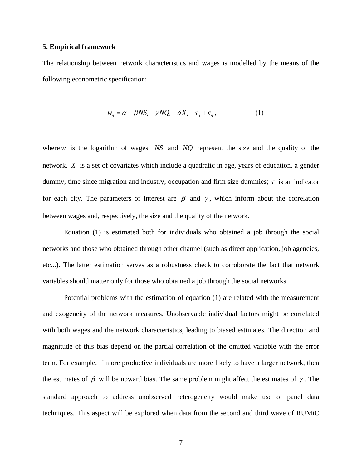#### **5. Empirical framework**

The relationship between network characteristics and wages is modelled by the means of the following econometric specification:

$$
w_{ij} = \alpha + \beta N S_i + \gamma N Q_i + \delta X_i + \tau_j + \varepsilon_{ij},
$$
\n(1)

where*w* is the logarithm of wages, *NS* and *NQ* represent the size and the quality of the network, *X* is a set of covariates which include a quadratic in age, years of education, a gender dummy, time since migration and industry, occupation and firm size dummies;  $\tau$  is an indicator for each city. The parameters of interest are  $\beta$  and  $\gamma$ , which inform about the correlation between wages and, respectively, the size and the quality of the network.

 Equation (1) is estimated both for individuals who obtained a job through the social networks and those who obtained through other channel (such as direct application, job agencies, etc...). The latter estimation serves as a robustness check to corroborate the fact that network variables should matter only for those who obtained a job through the social networks.

 Potential problems with the estimation of equation (1) are related with the measurement and exogeneity of the network measures. Unobservable individual factors might be correlated with both wages and the network characteristics, leading to biased estimates. The direction and magnitude of this bias depend on the partial correlation of the omitted variable with the error term. For example, if more productive individuals are more likely to have a larger network, then the estimates of  $\beta$  will be upward bias. The same problem might affect the estimates of  $\gamma$ . The standard approach to address unobserved heterogeneity would make use of panel data techniques. This aspect will be explored when data from the second and third wave of RUMiC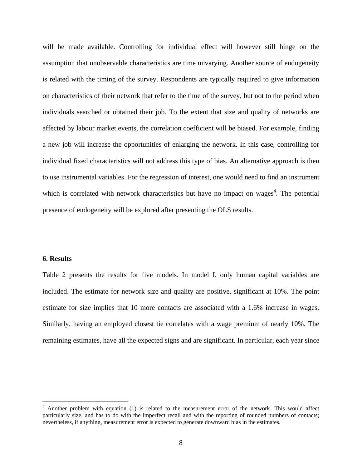will be made available. Controlling for individual effect will however still hinge on the assumption that unobservable characteristics are time unvarying. Another source of endogeneity is related with the timing of the survey. Respondents are typically required to give information on characteristics of their network that refer to the time of the survey, but not to the period when individuals searched or obtained their job. To the extent that size and quality of networks are affected by labour market events, the correlation coefficient will be biased. For example, finding a new job will increase the opportunities of enlarging the network. In this case, controlling for individual fixed characteristics will not address this type of bias. An alternative approach is then to use instrumental variables. For the regression of interest, one would need to find an instrument which is correlated with network characteristics but have no impact on wages<sup>4</sup>. The potential presence of endogeneity will be explored after presenting the OLS results.

# **6. Results**

1

Table 2 presents the results for five models. In model I, only human capital variables are included. The estimate for network size and quality are positive, significant at 10%. The point estimate for size implies that 10 more contacts are associated with a 1.6% increase in wages. Similarly, having an employed closest tie correlates with a wage premium of nearly 10%. The remaining estimates, have all the expected signs and are significant. In particular, each year since

<sup>&</sup>lt;sup>4</sup> Another problem with equation (1) is related to the measurement error of the network. This would affect particularly size, and has to do with the imperfect recall and with the reporting of rounded numbers of contacts; nevertheless, if anything, measurement error is expected to generate downward bias in the estimates.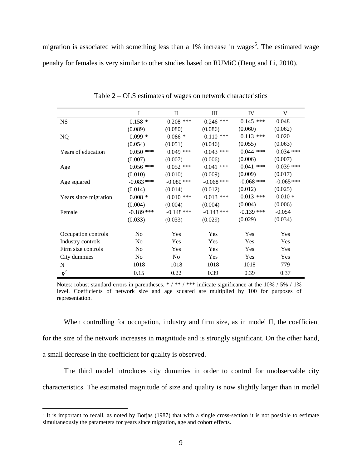migration is associated with something less than a 1% increase in wages<sup>5</sup>. The estimated wage penalty for females is very similar to other studies based on RUMiC (Deng and Li, 2010).

|                       | I              | $\mathbf{I}$   | Ш            | IV           | V            |
|-----------------------|----------------|----------------|--------------|--------------|--------------|
| <b>NS</b>             | $0.158*$       | $0.208$ ***    | $0.246$ ***  | $0.145$ ***  | 0.048        |
|                       | (0.089)        | (0.080)        | (0.086)      | (0.060)      | (0.062)      |
| NQ                    | $0.099*$       | $0.086 *$      | $0.110$ ***  | $0.113$ ***  | 0.020        |
|                       | (0.054)        | (0.051)        | (0.046)      | (0.055)      | (0.063)      |
| Years of education    | $0.050$ ***    | $0.049$ ***    | $0.043$ ***  | $0.044$ ***  | $0.034$ ***  |
|                       | (0.007)        | (0.007)        | (0.006)      | (0.006)      | (0.007)      |
| Age                   | $0.056$ ***    | $0.052$ ***    | $0.041$ ***  | $0.041$ ***  | $0.039$ ***  |
|                       | (0.010)        | (0.010)        | (0.009)      | (0.009)      | (0.017)      |
| Age squared           | $-0.083$ ***   | $-0.080$ ***   | $-0.068$ *** | $-0.068$ *** | $-0.065$ *** |
|                       | (0.014)        | (0.014)        | (0.012)      | (0.012)      | (0.025)      |
| Years since migration | $0.008 *$      | $0.010$ ***    | $0.013$ ***  | $0.013$ ***  | $0.010 *$    |
|                       | (0.004)        | (0.004)        | (0.004)      | (0.004)      | (0.006)      |
| Female                | $-0.189$ ***   | $-0.148$ ***   | $-0.143$ *** | $-0.139$ *** | $-0.054$     |
|                       | (0.033)        | (0.033)        | (0.029)      | (0.029)      | (0.034)      |
| Occupation controls   | N <sub>0</sub> | Yes            | Yes          | Yes          | Yes          |
| Industry controls     | N <sub>0</sub> | Yes            | Yes          | Yes          | Yes          |
| Firm size controls    | N <sub>0</sub> | Yes            | <b>Yes</b>   | <b>Yes</b>   | <b>Yes</b>   |
| City dummies          | N <sub>o</sub> | N <sub>o</sub> | Yes          | Yes          | Yes          |
| N                     | 1018           | 1018           | 1018         | 1018         | 779          |
| $\overline{R}^2$      | 0.15           | 0.22           | 0.39         | 0.39         | 0.37         |

Table 2 – OLS estimates of wages on network characteristics

Notes: robust standard errors in parentheses. \* / \*\* / \*\*\* indicate significance at the  $10\%$  / 5% / 1% level. Coefficients of network size and age squared are multiplied by 100 for purposes of representation.

When controlling for occupation, industry and firm size, as in model II, the coefficient for the size of the network increases in magnitude and is strongly significant. On the other hand, a small decrease in the coefficient for quality is observed.

The third model introduces city dummies in order to control for unobservable city characteristics. The estimated magnitude of size and quality is now slightly larger than in model

<sup>&</sup>lt;sup>5</sup> It is important to recall, as noted by Borjas (1987) that with a single cross-section it is not possible to estimate simultaneously the parameters for years since migration, age and cohort effects.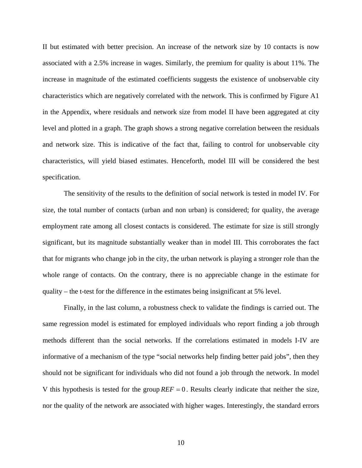II but estimated with better precision. An increase of the network size by 10 contacts is now associated with a 2.5% increase in wages. Similarly, the premium for quality is about 11%. The increase in magnitude of the estimated coefficients suggests the existence of unobservable city characteristics which are negatively correlated with the network. This is confirmed by Figure A1 in the Appendix, where residuals and network size from model II have been aggregated at city level and plotted in a graph. The graph shows a strong negative correlation between the residuals and network size. This is indicative of the fact that, failing to control for unobservable city characteristics, will yield biased estimates. Henceforth, model III will be considered the best specification.

The sensitivity of the results to the definition of social network is tested in model IV. For size, the total number of contacts (urban and non urban) is considered; for quality, the average employment rate among all closest contacts is considered. The estimate for size is still strongly significant, but its magnitude substantially weaker than in model III. This corroborates the fact that for migrants who change job in the city, the urban network is playing a stronger role than the whole range of contacts. On the contrary, there is no appreciable change in the estimate for quality – the t-test for the difference in the estimates being insignificant at 5% level.

Finally, in the last column, a robustness check to validate the findings is carried out. The same regression model is estimated for employed individuals who report finding a job through methods different than the social networks. If the correlations estimated in models I-IV are informative of a mechanism of the type "social networks help finding better paid jobs", then they should not be significant for individuals who did not found a job through the network. In model V this hypothesis is tested for the group  $REF=0$ . Results clearly indicate that neither the size, nor the quality of the network are associated with higher wages. Interestingly, the standard errors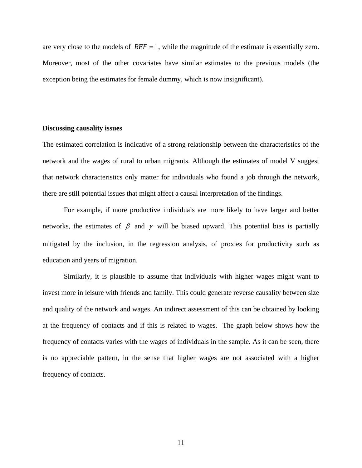are very close to the models of  $REF=1$ , while the magnitude of the estimate is essentially zero. Moreover, most of the other covariates have similar estimates to the previous models (the exception being the estimates for female dummy, which is now insignificant).

#### **Discussing causality issues**

The estimated correlation is indicative of a strong relationship between the characteristics of the network and the wages of rural to urban migrants. Although the estimates of model V suggest that network characteristics only matter for individuals who found a job through the network, there are still potential issues that might affect a causal interpretation of the findings.

For example, if more productive individuals are more likely to have larger and better networks, the estimates of  $\beta$  and  $\gamma$  will be biased upward. This potential bias is partially mitigated by the inclusion, in the regression analysis, of proxies for productivity such as education and years of migration.

Similarly, it is plausible to assume that individuals with higher wages might want to invest more in leisure with friends and family. This could generate reverse causality between size and quality of the network and wages. An indirect assessment of this can be obtained by looking at the frequency of contacts and if this is related to wages. The graph below shows how the frequency of contacts varies with the wages of individuals in the sample. As it can be seen, there is no appreciable pattern, in the sense that higher wages are not associated with a higher frequency of contacts.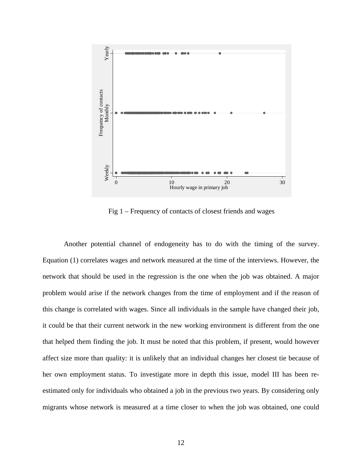

Fig 1 – Frequency of contacts of closest friends and wages

Another potential channel of endogeneity has to do with the timing of the survey. Equation (1) correlates wages and network measured at the time of the interviews. However, the network that should be used in the regression is the one when the job was obtained. A major problem would arise if the network changes from the time of employment and if the reason of this change is correlated with wages. Since all individuals in the sample have changed their job, it could be that their current network in the new working environment is different from the one that helped them finding the job. It must be noted that this problem, if present, would however affect size more than quality: it is unlikely that an individual changes her closest tie because of her own employment status. To investigate more in depth this issue, model III has been reestimated only for individuals who obtained a job in the previous two years. By considering only migrants whose network is measured at a time closer to when the job was obtained, one could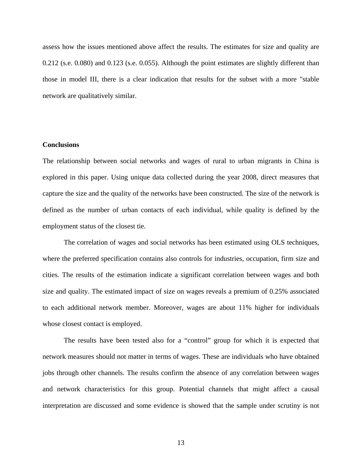assess how the issues mentioned above affect the results. The estimates for size and quality are 0.212 (s.e. 0.080) and 0.123 (s.e. 0.055). Although the point estimates are slightly different than those in model III, there is a clear indication that results for the subset with a more "stable network are qualitatively similar.

# **Conclusions**

The relationship between social networks and wages of rural to urban migrants in China is explored in this paper. Using unique data collected during the year 2008, direct measures that capture the size and the quality of the networks have been constructed. The size of the network is defined as the number of urban contacts of each individual, while quality is defined by the employment status of the closest tie.

The correlation of wages and social networks has been estimated using OLS techniques, where the preferred specification contains also controls for industries, occupation, firm size and cities. The results of the estimation indicate a significant correlation between wages and both size and quality. The estimated impact of size on wages reveals a premium of 0.25% associated to each additional network member. Moreover, wages are about 11% higher for individuals whose closest contact is employed.

The results have been tested also for a "control" group for which it is expected that network measures should not matter in terms of wages. These are individuals who have obtained jobs through other channels. The results confirm the absence of any correlation between wages and network characteristics for this group. Potential channels that might affect a causal interpretation are discussed and some evidence is showed that the sample under scrutiny is not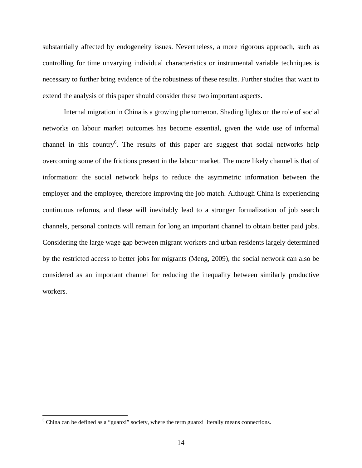substantially affected by endogeneity issues. Nevertheless, a more rigorous approach, such as controlling for time unvarying individual characteristics or instrumental variable techniques is necessary to further bring evidence of the robustness of these results. Further studies that want to extend the analysis of this paper should consider these two important aspects.

Internal migration in China is a growing phenomenon. Shading lights on the role of social networks on labour market outcomes has become essential, given the wide use of informal channel in this country<sup>6</sup>. The results of this paper are suggest that social networks help overcoming some of the frictions present in the labour market. The more likely channel is that of information: the social network helps to reduce the asymmetric information between the employer and the employee, therefore improving the job match. Although China is experiencing continuous reforms, and these will inevitably lead to a stronger formalization of job search channels, personal contacts will remain for long an important channel to obtain better paid jobs. Considering the large wage gap between migrant workers and urban residents largely determined by the restricted access to better jobs for migrants (Meng, 2009), the social network can also be considered as an important channel for reducing the inequality between similarly productive workers.

<u>.</u>

 $6$  China can be defined as a "guanxi" society, where the term guanxi literally means connections.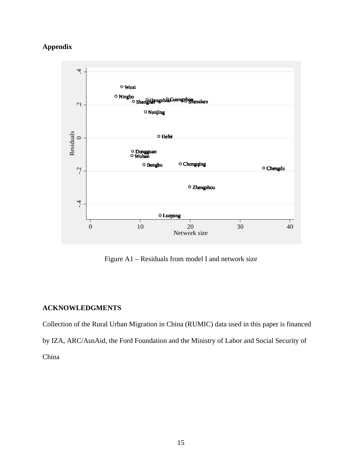# **Appendix**



Figure A1 – Residuals from model I and network size

# **ACKNOWLEDGMENTS**

Collection of the Rural Urban Migration in China (RUMIC) data used in this paper is financed by IZA, ARC/AusAid, the Ford Foundation and the Ministry of Labor and Social Security of China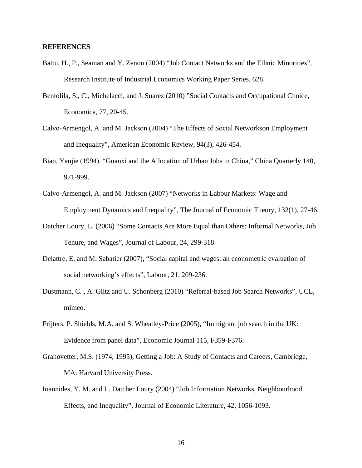#### **REFERENCES**

- Battu, H., P., Seaman and Y. Zenou (2004) "Job Contact Networks and the Ethnic Minorities", Research Institute of Industrial Economics Working Paper Series, 628.
- Bentolila, S., C., Michelacci, and J. Suarez (2010) "Social Contacts and Occupational Choice, Economica, 77, 20-45.
- Calvo-Armengol, A. and M. Jackson (2004) "The Effects of Social Networkson Employment and Inequality", American Economic Review, 94(3), 426-454.
- Bian, Yanjie (1994). "Guanxi and the Allocation of Urban Jobs in China," China Quarterly 140, 971-999.
- Calvo-Armengol, A. and M. Jackson (2007) "Networks in Labour Markets: Wage and Employment Dynamics and Inequality", The Journal of Economic Theory, 132(1), 27-46.
- Datcher Loury, L. (2006) "Some Contacts Are More Equal than Others: Informal Networks, Job Tenure, and Wages", Journal of Labour, 24, 299-318.
- Delattre, E. and M. Sabatier (2007), "Social capital and wages: an econometric evaluation of social networking's effects", Labour, 21, 209-236.
- Dustmann, C. , A. Glitz and U. Schonberg (2010) "Referral-based Job Search Networks", UCL, mimeo.
- Frijters, P. Shields, M.A. and S. Wheatley-Price (2005), "Immigrant job search in the UK: Evidence from panel data", Economic Journal 115, F359-F376.
- Granovetter, M.S. (1974, 1995), Getting a Job: A Study of Contacts and Careers, Cambridge, MA: Harvard University Press.
- Ioannides, Y. M. and L. Datcher Loury (2004) "Job Information Networks, Neighbourhood Effects, and Inequality", Journal of Economic Literature, 42, 1056-1093.